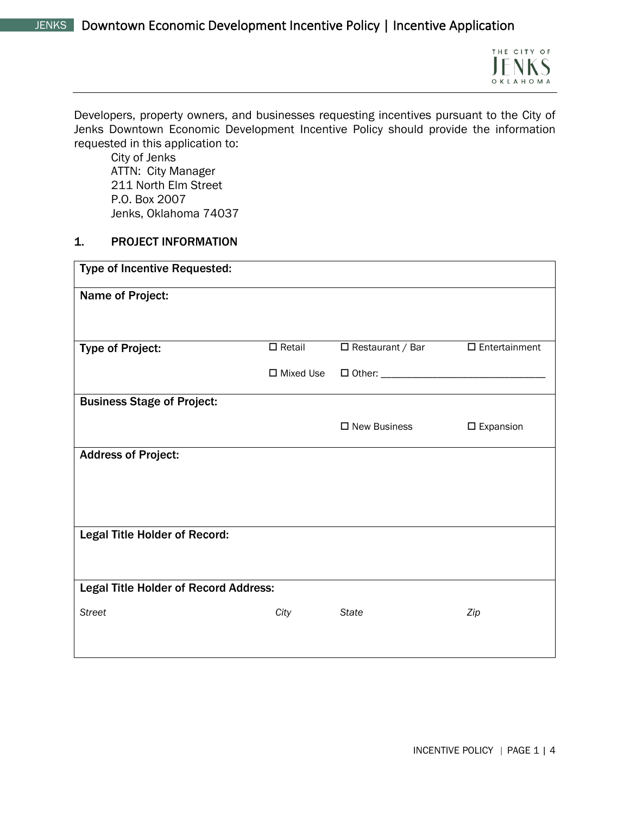

Developers, property owners, and businesses requesting incentives pursuant to the City of Jenks Downtown Economic Development Incentive Policy should provide the information requested in this application to:

City of Jenks ATTN: City Manager 211 North Elm Street P.O. Box 2007 Jenks, Oklahoma 74037

### 1. PROJECT INFORMATION

| <b>Type of Incentive Requested:</b>          |                     |                         |                         |
|----------------------------------------------|---------------------|-------------------------|-------------------------|
| Name of Project:                             |                     |                         |                         |
| <b>Type of Project:</b>                      | $\square$ Retail    | $\Box$ Restaurant / Bar | $\square$ Entertainment |
|                                              | $\square$ Mixed Use |                         |                         |
| <b>Business Stage of Project:</b>            |                     |                         |                         |
|                                              |                     | $\square$ New Business  | $\square$ Expansion     |
| <b>Address of Project:</b>                   |                     |                         |                         |
|                                              |                     |                         |                         |
|                                              |                     |                         |                         |
| <b>Legal Title Holder of Record:</b>         |                     |                         |                         |
|                                              |                     |                         |                         |
| <b>Legal Title Holder of Record Address:</b> |                     |                         |                         |
| <b>Street</b>                                | City                | <b>State</b>            | Zip                     |
|                                              |                     |                         |                         |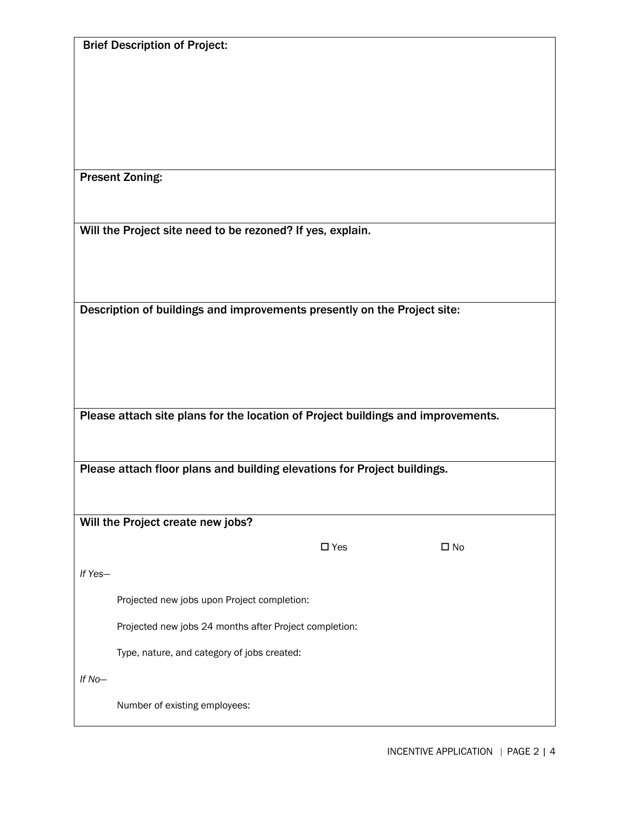Brief Description of Project:

Present Zoning:

Will the Project site need to be rezoned? If yes, explain.

Description of buildings and improvements presently on the Project site:

Please attach site plans for the location of Project buildings and improvements.

Please attach floor plans and building elevations for Project buildings.

Will the Project create new jobs?

 $\square$  Yes  $\square$  No

*If Yes—*

Projected new jobs upon Project completion:

Projected new jobs 24 months after Project completion:

Type, nature, and category of jobs created:

*If No—*

Number of existing employees: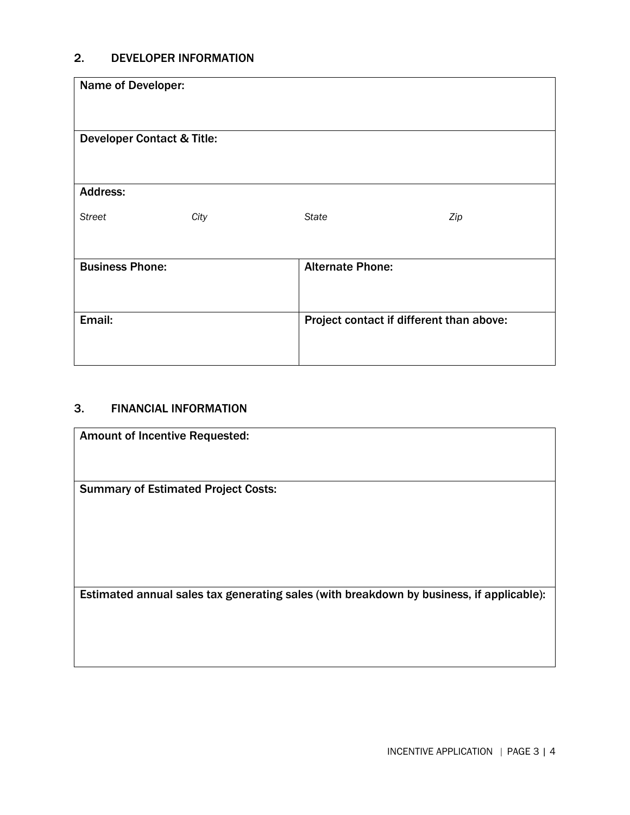# 2. DEVELOPER INFORMATION

| Name of Developer:                    |      |                         |                                          |  |
|---------------------------------------|------|-------------------------|------------------------------------------|--|
| <b>Developer Contact &amp; Title:</b> |      |                         |                                          |  |
| <b>Address:</b>                       |      |                         |                                          |  |
| <b>Street</b>                         | City | <b>State</b>            | Zip                                      |  |
| <b>Business Phone:</b>                |      | <b>Alternate Phone:</b> |                                          |  |
| Email:                                |      |                         | Project contact if different than above: |  |

## 3. FINANCIAL INFORMATION

 $\mathsf{l}$ 

| <b>Amount of Incentive Requested:</b>                                                    |
|------------------------------------------------------------------------------------------|
| <b>Summary of Estimated Project Costs:</b>                                               |
| Estimated annual sales tax generating sales (with breakdown by business, if applicable): |